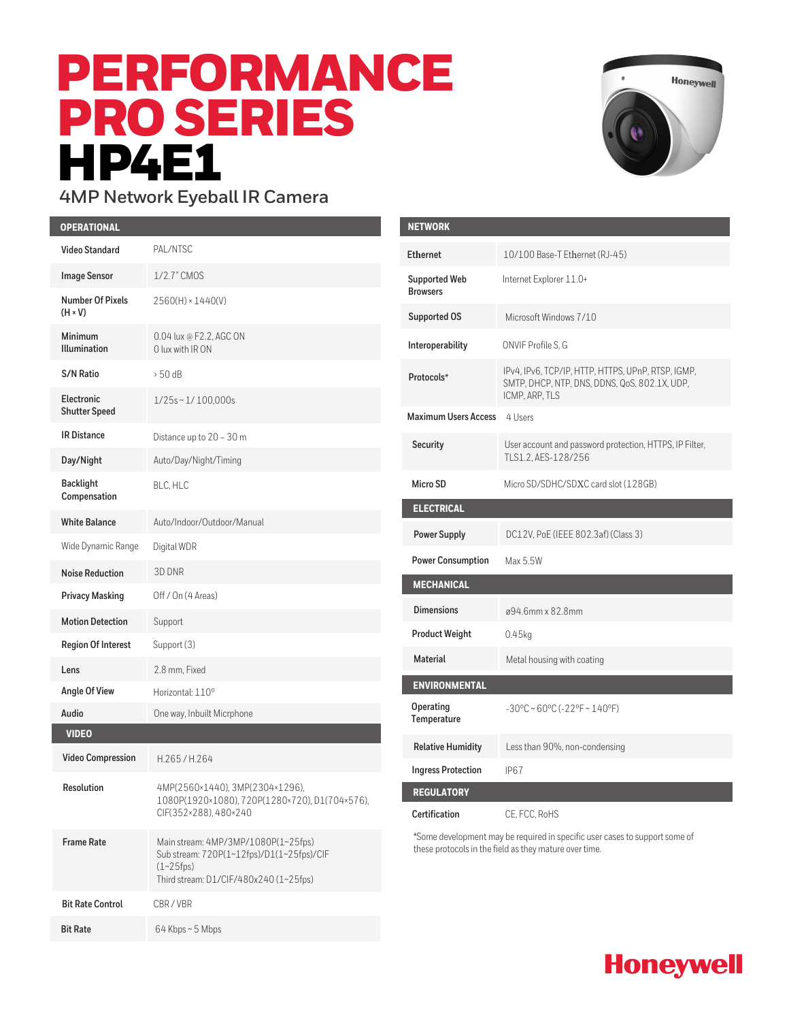# PERFORMANCE PRO SERIES **HP4E1**

I



#### **4MP Network Eyeball IR Camera**

| <b>OPERATIONAL</b>                        |                                                                                                                                              | <b>NETWORK</b>                                                                                                    |                                                               |
|-------------------------------------------|----------------------------------------------------------------------------------------------------------------------------------------------|-------------------------------------------------------------------------------------------------------------------|---------------------------------------------------------------|
| <b>Video Standard</b>                     | PAL/NTSC                                                                                                                                     | <b>Ethernet</b>                                                                                                   | 10/100 Base-T Ethernet (RJ-4                                  |
| <b>Image Sensor</b>                       | 1/2.7" CMOS                                                                                                                                  | Supported Web                                                                                                     | Internet Explorer 11.0+                                       |
| <b>Number Of Pixels</b><br>$(H \times V)$ | $2560(H) \times 1440(V)$                                                                                                                     | <b>Browsers</b>                                                                                                   |                                                               |
|                                           |                                                                                                                                              | <b>Supported OS</b>                                                                                               | Microsoft Windows 7/10                                        |
| Minimum<br><b>Illumination</b>            | 0.04 lux @ F2.2, AGC ON<br>0 lux with IR ON                                                                                                  | Interoperability                                                                                                  | ONVIF Profile S, G                                            |
| <b>S/N Ratio</b>                          | $> 50$ dB                                                                                                                                    | Protocols*                                                                                                        | IPv4, IPv6, TCP/IP, HTTP, HTTP<br>SMTP, DHCP, NTP, DNS, DDNS, |
| Electronic<br><b>Shutter Speed</b>        | $1/25s \sim 1/100,000s$                                                                                                                      | <b>Maximum Users Access</b>                                                                                       | ICMP, ARP, TLS<br>4 Users                                     |
| <b>IR Distance</b>                        | Distance up to 20 - 30 m                                                                                                                     |                                                                                                                   |                                                               |
| Day/Night                                 | Auto/Day/Night/Timing                                                                                                                        | Security                                                                                                          | User account and password pro-<br>TLS1.2, AES-128/256         |
| <b>Backlight</b><br>Compensation          | BLC. HLC                                                                                                                                     | Micro SD                                                                                                          | Micro SD/SDHC/SDXC card slo                                   |
| <b>White Balance</b>                      | Auto/Indoor/Outdoor/Manual                                                                                                                   | <b>ELECTRICAL</b>                                                                                                 |                                                               |
| Wide Dynamic Range                        | Digital WDR                                                                                                                                  | <b>Power Supply</b>                                                                                               | DC12V, PoE (IEEE 802.3af) (C                                  |
| <b>Noise Reduction</b>                    | 3D DNR                                                                                                                                       | <b>Power Consumption</b>                                                                                          | Max 5.5W                                                      |
| <b>Privacy Masking</b>                    | Off / On (4 Areas)                                                                                                                           | <b>MECHANICAL</b>                                                                                                 |                                                               |
| <b>Motion Detection</b>                   | Support                                                                                                                                      | <b>Dimensions</b>                                                                                                 | ø94.6mm x 82.8mm                                              |
| <b>Region Of Interest</b>                 | Support (3)                                                                                                                                  | <b>Product Weight</b>                                                                                             | $0.45$ kg                                                     |
| Lens                                      | 2.8 mm, Fixed                                                                                                                                | <b>Material</b>                                                                                                   | Metal housing with coating                                    |
| Angle Of View                             | Horizontal: 110°                                                                                                                             | <b>ENVIRONMENTAL</b>                                                                                              |                                                               |
| Audio                                     | One way, Inbuilt Micrphone                                                                                                                   | Operating<br>Temperature                                                                                          | $-30^{\circ}$ C ~ 60°C (-22°F ~ 140°F)                        |
| <b>VIDEO</b>                              |                                                                                                                                              | <b>Relative Humidity</b>                                                                                          | Less than 90%, non-condensir                                  |
| <b>Video Compression</b>                  | H.265/H.264                                                                                                                                  | <b>Ingress Protection</b>                                                                                         | IP <sub>67</sub>                                              |
| Resolution                                | 4MP(2560×1440), 3MP(2304×1296),<br>1080P(1920×1080), 720P(1280×720), D1(704×576),<br>CIF(352×288), 480×240                                   | <b>REGULATORY</b>                                                                                                 |                                                               |
|                                           |                                                                                                                                              | Certification                                                                                                     | CE, FCC, RoHS                                                 |
| <b>Frame Rate</b>                         | Main stream: 4MP/3MP/1080P(1~25fps)<br>Sub stream: 720P(1~12fps)/D1(1~25fps)/CIF<br>$(1 - 25$ fps)<br>Third stream: D1/CIF/480x240 (1~25fps) | *Some development may be required in specific user case<br>these protocols in the field as they mature over time. |                                                               |
| <b>Bit Rate Control</b>                   | CBR/VBR                                                                                                                                      |                                                                                                                   |                                                               |
| <b>Bit Rate</b>                           | 64 Kbps~5 Mbps                                                                                                                               |                                                                                                                   |                                                               |

| <b>NETWORK</b>                          |                                                                                                                       |
|-----------------------------------------|-----------------------------------------------------------------------------------------------------------------------|
| <b>Fthernet</b>                         | 10/100 Base-T Ethernet (RJ-45)                                                                                        |
| <b>Supported Web</b><br><b>Browsers</b> | Internet Explorer 11.0+                                                                                               |
| <b>Supported OS</b>                     | Microsoft Windows 7/10                                                                                                |
| Interoperability                        | ONVIF Profile S. G                                                                                                    |
| Protocols*                              | IPv4, IPv6, TCP/IP, HTTP, HTTPS, UPnP, RTSP, IGMP,<br>SMTP, DHCP, NTP, DNS, DDNS, QoS, 802.1X, UDP,<br>ICMP, ARP, TLS |
| <b>Maximum Users Access</b>             | 4 Users                                                                                                               |
| Security                                | User account and password protection, HTTPS, IP Filter,<br>TLS1.2, AES-128/256                                        |
| Micro SD                                | Micro SD/SDHC/SDXC card slot (128GB)                                                                                  |
| <b>ELECTRICAL</b>                       |                                                                                                                       |
| <b>Power Supply</b>                     | DC12V, PoE (IEEE 802.3af) (Class 3)                                                                                   |
| <b>Power Consumption</b>                | Max 5.5W                                                                                                              |
| <b>MECHANICAL</b>                       |                                                                                                                       |
|                                         |                                                                                                                       |
| <b>Dimensions</b>                       | ø94.6mm x 82.8mm                                                                                                      |
| <b>Product Weight</b>                   | 0.45kg                                                                                                                |
| <b>Material</b>                         | Metal housing with coating                                                                                            |
| <b>ENVIRONMENTAL</b>                    |                                                                                                                       |
| Operating<br>Temperature                | $-30^{\circ}$ C ~ 60°C (-22°F ~ 140°F)                                                                                |
| <b>Relative Humidity</b>                | Less than 90%, non-condensing                                                                                         |
| <b>Ingress Protection</b>               | IP <sub>67</sub>                                                                                                      |
| <b>REGULATORY</b>                       |                                                                                                                       |

ome development may be required in specific user cases to support some of ese protocols in the field as they mature over time.